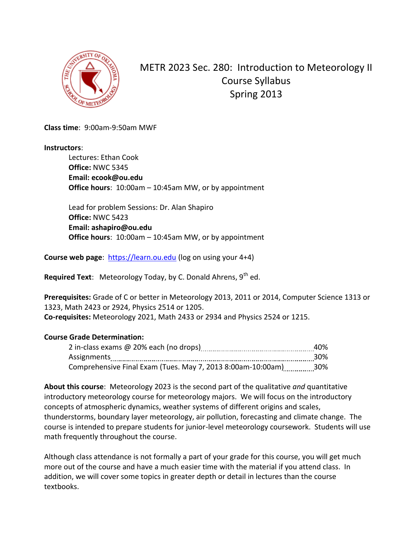

METR 2023 Sec. 280: Introduction to Meteorology II Course Syllabus Spring 2013

**Class time**: 9:00am-9:50am MWF

**Instructors**:

Lectures: Ethan Cook **Office:** NWC 5345 **Email: ecook@ou.edu Office hours**: 10:00am – 10:45am MW, or by appointment

Lead for problem Sessions: Dr. Alan Shapiro **Office:** NWC 5423 **Email: ashapiro@ou.edu Office hours**: 10:00am – 10:45am MW, or by appointment

**Course web page**: [https://learn.ou.edu](https://learn.ou.edu/) (log on using your 4+4)

**Required Text**: Meteorology Today, by C. Donald Ahrens, 9<sup>th</sup> ed.

**Prerequisites:** Grade of C or better in Meteorology 2013, 2011 or 2014, Computer Science 1313 or 1323, Math 2423 or 2924, Physics 2514 or 1205. **Co-requisites:** Meteorology 2021, Math 2433 or 2934 and Physics 2524 or 1215.

## **Course Grade Determination:**

|                                                                 | 40% |
|-----------------------------------------------------------------|-----|
| Assignments                                                     | 30% |
| Comprehensive Final Exam (Tues. May 7, 2013 8:00am-10:00am) 30% |     |

**About this course**: Meteorology 2023 is the second part of the qualitative *and* quantitative introductory meteorology course for meteorology majors. We will focus on the introductory concepts of atmospheric dynamics, weather systems of different origins and scales, thunderstorms, boundary layer meteorology, air pollution, forecasting and climate change. The course is intended to prepare students for junior-level meteorology coursework. Students will use math frequently throughout the course.

Although class attendance is not formally a part of your grade for this course, you will get much more out of the course and have a much easier time with the material if you attend class. In addition, we will cover some topics in greater depth or detail in lectures than the course textbooks.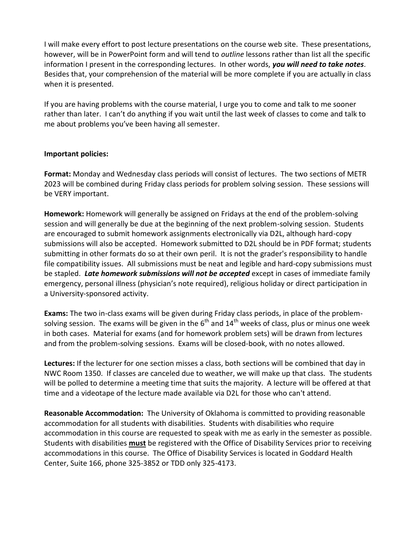I will make every effort to post lecture presentations on the course web site. These presentations, however, will be in PowerPoint form and will tend to *outline* lessons rather than list all the specific information I present in the corresponding lectures. In other words, *you will need to take notes*. Besides that, your comprehension of the material will be more complete if you are actually in class when it is presented.

If you are having problems with the course material, I urge you to come and talk to me sooner rather than later. I can't do anything if you wait until the last week of classes to come and talk to me about problems you've been having all semester.

## **Important policies:**

**Format:** Monday and Wednesday class periods will consist of lectures. The two sections of METR 2023 will be combined during Friday class periods for problem solving session. These sessions will be VERY important.

**Homework:** Homework will generally be assigned on Fridays at the end of the problem-solving session and will generally be due at the beginning of the next problem-solving session. Students are encouraged to submit homework assignments electronically via D2L, although hard-copy submissions will also be accepted. Homework submitted to D2L should be in PDF format; students submitting in other formats do so at their own peril. It is not the grader's responsibility to handle file compatibility issues. All submissions must be neat and legible and hard-copy submissions must be stapled. *Late homework submissions will not be accepted* except in cases of immediate family emergency, personal illness (physician's note required), religious holiday or direct participation in a University-sponsored activity.

**Exams:** The two in-class exams will be given during Friday class periods, in place of the problemsolving session. The exams will be given in the  $6<sup>th</sup>$  and  $14<sup>th</sup>$  weeks of class, plus or minus one week in both cases. Material for exams (and for homework problem sets) will be drawn from lectures and from the problem-solving sessions. Exams will be closed-book, with no notes allowed.

**Lectures:** If the lecturer for one section misses a class, both sections will be combined that day in NWC Room 1350. If classes are canceled due to weather, we will make up that class. The students will be polled to determine a meeting time that suits the majority. A lecture will be offered at that time and a videotape of the lecture made available via D2L for those who can't attend.

**Reasonable Accommodation:** The University of Oklahoma is committed to providing reasonable accommodation for all students with disabilities. Students with disabilities who require accommodation in this course are requested to speak with me as early in the semester as possible. Students with disabilities **must** be registered with the Office of Disability Services prior to receiving accommodations in this course. The Office of Disability Services is located in Goddard Health Center, Suite 166, phone 325-3852 or TDD only 325-4173.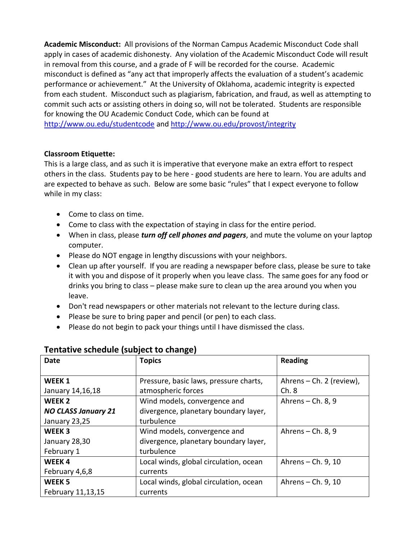**Academic Misconduct:** All provisions of the Norman Campus Academic Misconduct Code shall apply in cases of academic dishonesty. Any violation of the Academic Misconduct Code will result in removal from this course, and a grade of F will be recorded for the course. Academic misconduct is defined as "any act that improperly affects the evaluation of a student's academic performance or achievement." At the University of Oklahoma, academic integrity is expected from each student. Misconduct such as plagiarism, fabrication, and fraud, as well as attempting to commit such acts or assisting others in doing so, will not be tolerated. Students are responsible for knowing the OU Academic Conduct Code, which can be found at <http://www.ou.edu/studentcode> an[d http://www.ou.edu/provost/integrity](http://www.ou.edu/provost/integrity)

## **Classroom Etiquette:**

This is a large class, and as such it is imperative that everyone make an extra effort to respect others in the class. Students pay to be here - good students are here to learn. You are adults and are expected to behave as such. Below are some basic "rules" that I expect everyone to follow while in my class:

- Come to class on time.
- Come to class with the expectation of staying in class for the entire period.
- When in class, please *turn off cell phones and pagers*, and mute the volume on your laptop computer.
- Please do NOT engage in lengthy discussions with your neighbors.
- Clean up after yourself. If you are reading a newspaper before class, please be sure to take it with you and dispose of it properly when you leave class. The same goes for any food or drinks you bring to class – please make sure to clean up the area around you when you leave.
- Don't read newspapers or other materials not relevant to the lecture during class.
- Please be sure to bring paper and pencil (or pen) to each class.
- Please do not begin to pack your things until I have dismissed the class.

| <b>Date</b>                | <b>Topics</b>                          | <b>Reading</b>           |
|----------------------------|----------------------------------------|--------------------------|
|                            |                                        |                          |
| WEEK <sub>1</sub>          | Pressure, basic laws, pressure charts, | Ahrens – Ch. 2 (review), |
| January 14,16,18           | atmospheric forces                     | Ch.8                     |
| WEEK <sub>2</sub>          | Wind models, convergence and           | Ahrens $-$ Ch. 8, 9      |
| <b>NO CLASS January 21</b> | divergence, planetary boundary layer,  |                          |
| January 23,25              | turbulence                             |                          |
| WEEK <sub>3</sub>          | Wind models, convergence and           | Ahrens $-$ Ch. 8, 9      |
| January 28,30              | divergence, planetary boundary layer,  |                          |
| February 1                 | turbulence                             |                          |
| WEEK4                      | Local winds, global circulation, ocean | Ahrens – Ch. 9, 10       |
| February 4,6,8             | currents                               |                          |
| WEEK <sub>5</sub>          | Local winds, global circulation, ocean | Ahrens - Ch. 9, 10       |
| February 11,13,15          | currents                               |                          |

## **Tentative schedule (subject to change)**